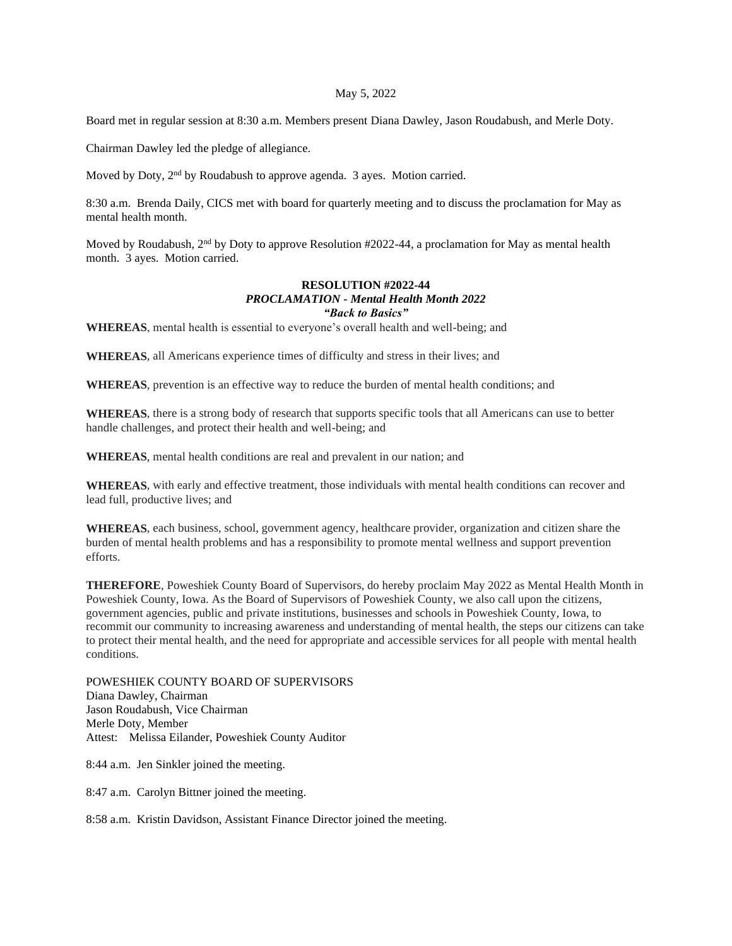## May 5, 2022

Board met in regular session at 8:30 a.m. Members present Diana Dawley, Jason Roudabush, and Merle Doty.

Chairman Dawley led the pledge of allegiance.

Moved by Doty, 2<sup>nd</sup> by Roudabush to approve agenda. 3 ayes. Motion carried.

8:30 a.m. Brenda Daily, CICS met with board for quarterly meeting and to discuss the proclamation for May as mental health month.

Moved by Roudabush,  $2<sup>nd</sup>$  by Doty to approve Resolution #2022-44, a proclamation for May as mental health month. 3 ayes. Motion carried.

## **RESOLUTION #2022-44** *PROCLAMATION - Mental Health Month 2022 "Back to Basics"*

**WHEREAS**, mental health is essential to everyone's overall health and well-being; and

**WHEREAS**, all Americans experience times of difficulty and stress in their lives; and

**WHEREAS**, prevention is an effective way to reduce the burden of mental health conditions; and

**WHEREAS**, there is a strong body of research that supports specific tools that all Americans can use to better handle challenges, and protect their health and well-being; and

**WHEREAS**, mental health conditions are real and prevalent in our nation; and

**WHEREAS**, with early and effective treatment, those individuals with mental health conditions can recover and lead full, productive lives; and

**WHEREAS**, each business, school, government agency, healthcare provider, organization and citizen share the burden of mental health problems and has a responsibility to promote mental wellness and support prevention efforts.

**THEREFORE**, Poweshiek County Board of Supervisors, do hereby proclaim May 2022 as Mental Health Month in Poweshiek County, Iowa. As the Board of Supervisors of Poweshiek County, we also call upon the citizens, government agencies, public and private institutions, businesses and schools in Poweshiek County, Iowa, to recommit our community to increasing awareness and understanding of mental health, the steps our citizens can take to protect their mental health, and the need for appropriate and accessible services for all people with mental health conditions.

POWESHIEK COUNTY BOARD OF SUPERVISORS Diana Dawley, Chairman Jason Roudabush, Vice Chairman Merle Doty, Member Attest: Melissa Eilander, Poweshiek County Auditor

8:44 a.m. Jen Sinkler joined the meeting.

8:47 a.m. Carolyn Bittner joined the meeting.

8:58 a.m. Kristin Davidson, Assistant Finance Director joined the meeting.